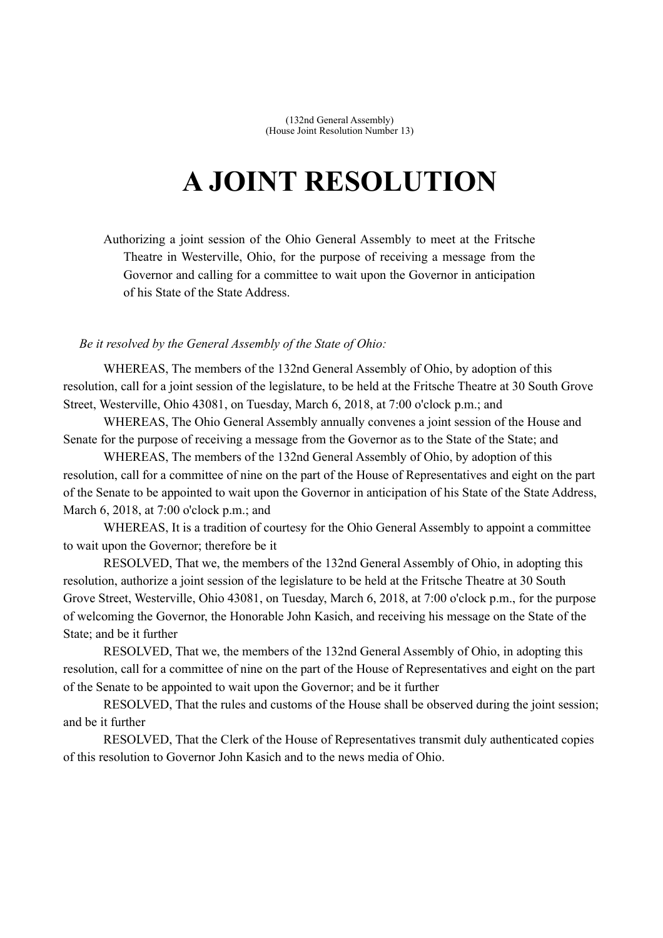(132nd General Assembly) (House Joint Resolution Number 13)

## **A JOINT RESOLUTION**

Authorizing a joint session of the Ohio General Assembly to meet at the Fritsche Theatre in Westerville, Ohio, for the purpose of receiving a message from the Governor and calling for a committee to wait upon the Governor in anticipation of his State of the State Address.

## *Be it resolved by the General Assembly of the State of Ohio:*

WHEREAS, The members of the 132nd General Assembly of Ohio, by adoption of this resolution, call for a joint session of the legislature, to be held at the Fritsche Theatre at 30 South Grove Street, Westerville, Ohio 43081, on Tuesday, March 6, 2018, at 7:00 o'clock p.m.; and

WHEREAS, The Ohio General Assembly annually convenes a joint session of the House and Senate for the purpose of receiving a message from the Governor as to the State of the State; and

WHEREAS, The members of the 132nd General Assembly of Ohio, by adoption of this resolution, call for a committee of nine on the part of the House of Representatives and eight on the part of the Senate to be appointed to wait upon the Governor in anticipation of his State of the State Address, March 6, 2018, at 7:00 o'clock p.m.; and

WHEREAS, It is a tradition of courtesy for the Ohio General Assembly to appoint a committee to wait upon the Governor; therefore be it

RESOLVED, That we, the members of the 132nd General Assembly of Ohio, in adopting this resolution, authorize a joint session of the legislature to be held at the Fritsche Theatre at 30 South Grove Street, Westerville, Ohio 43081, on Tuesday, March 6, 2018, at 7:00 o'clock p.m., for the purpose of welcoming the Governor, the Honorable John Kasich, and receiving his message on the State of the State; and be it further

RESOLVED, That we, the members of the 132nd General Assembly of Ohio, in adopting this resolution, call for a committee of nine on the part of the House of Representatives and eight on the part of the Senate to be appointed to wait upon the Governor; and be it further

RESOLVED, That the rules and customs of the House shall be observed during the joint session; and be it further

RESOLVED, That the Clerk of the House of Representatives transmit duly authenticated copies of this resolution to Governor John Kasich and to the news media of Ohio.